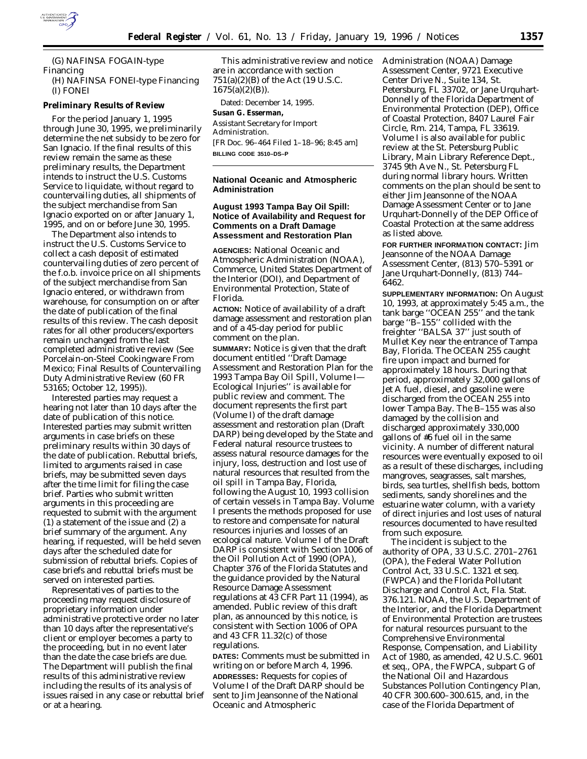

(G) NAFINSA FOGAIN-type Financing (H) NAFINSA FONEI-type Financing (I) FONEI

# **Preliminary Results of Review**

For the period January 1, 1995 through June 30, 1995, we preliminarily determine the net subsidy to be zero for San Ignacio. If the final results of this review remain the same as these preliminary results, the Department intends to instruct the U.S. Customs Service to liquidate, without regard to countervailing duties, all shipments of the subject merchandise from San Ignacio exported on or after January 1, 1995, and on or before June 30, 1995.

The Department also intends to instruct the U.S. Customs Service to collect a cash deposit of estimated countervailing duties of zero percent of the f.o.b. invoice price on all shipments of the subject merchandise from San Ignacio entered, or withdrawn from warehouse, for consumption on or after the date of publication of the final results of this review. The cash deposit rates for all other producers/exporters remain unchanged from the last completed administrative review (See Porcelain-on-Steel Cookingware From Mexico; Final Results of Countervailing Duty Administrative Review (60 FR 53165; October 12, 1995)).

Interested parties may request a hearing not later than 10 days after the date of publication of this notice. Interested parties may submit written arguments in case briefs on these preliminary results within 30 days of the date of publication. Rebuttal briefs, limited to arguments raised in case briefs, may be submitted seven days after the time limit for filing the case brief. Parties who submit written arguments in this proceeding are requested to submit with the argument (1) a statement of the issue and (2) a brief summary of the argument. Any hearing, if requested, will be held seven days after the scheduled date for submission of rebuttal briefs. Copies of case briefs and rebuttal briefs must be served on interested parties.

Representatives of parties to the proceeding may request disclosure of proprietary information under administrative protective order no later than 10 days after the representative's client or employer becomes a party to the proceeding, but in no event later than the date the case briefs are due. The Department will publish the final results of this administrative review including the results of its analysis of issues raised in any case or rebuttal brief or at a hearing.

This administrative review and notice are in accordance with section 751(a)(2)(B) of the Act (19 U.S.C.  $1675(a)(2)(B)$ ).

Dated: December 14, 1995. **Susan G. Esserman,** *Assistant Secretary for Import Administration.* [FR Doc. 96–464 Filed 1–18–96; 8:45 am] **BILLING CODE 3510–DS–P**

# **National Oceanic and Atmospheric Administration**

# **August 1993 Tampa Bay Oil Spill: Notice of Availability and Request for Comments on a Draft Damage Assessment and Restoration Plan**

**AGENCIES:** National Oceanic and Atmospheric Administration (NOAA), Commerce, United States Department of the Interior (DOI), and Department of Environmental Protection, State of Florida.

**ACTION:** Notice of availability of a draft damage assessment and restoration plan and of a 45-day period for public comment on the plan. **SUMMARY:** Notice is given that the draft document entitled ''Draft Damage Assessment and Restoration Plan for the 1993 Tampa Bay Oil Spill, Volume I— Ecological Injuries'' is available for public review and comment. The document represents the first part (Volume I) of the draft damage assessment and restoration plan (Draft DARP) being developed by the State and Federal natural resource trustees to assess natural resource damages for the injury, loss, destruction and lost use of natural resources that resulted from the oil spill in Tampa Bay, Florida, following the August 10, 1993 collision of certain vessels in Tampa Bay. Volume I presents the methods proposed for use to restore and compensate for natural resources injuries and losses of an ecological nature. Volume I of the Draft DARP is consistent with Section 1006 of the Oil Pollution Act of 1990 (OPA), Chapter 376 of the Florida Statutes and the guidance provided by the Natural Resource Damage Assessment regulations at 43 CFR Part 11 (1994), as amended. Public review of this draft plan, as announced by this notice, is consistent with Section 1006 of OPA and 43 CFR 11.32(c) of those regulations.

**DATES:** Comments must be submitted in writing on or before March 4, 1996. **ADDRESSES:** Requests for copies of Volume I of the Draft DARP should be sent to Jim Jeansonne of the National Oceanic and Atmospheric

Administration (NOAA) Damage Assessment Center, 9721 Executive Center Drive N., Suite 134, St. Petersburg, FL 33702, or Jane Urquhart-Donnelly of the Florida Department of Environmental Protection (DEP), Office of Coastal Protection, 8407 Laurel Fair Circle, Rm. 214, Tampa, FL 33619. Volume I is also available for public review at the St. Petersburg Public Library, Main Library Reference Dept., 3745 9th Ave N., St. Petersburg FL during normal library hours. Written comments on the plan should be sent to either Jim Jeansonne of the NOAA Damage Assessment Center or to Jane Urquhart-Donnelly of the DEP Office of Coastal Protection at the same address as listed above.

**FOR FURTHER INFORMATION CONTACT:** Jim Jeansonne of the NOAA Damage Assessment Center, (813) 570–5391 or Jane Urquhart-Donnelly, (813) 744– 6462.

**SUPPLEMENTARY INFORMATION:** On August 10, 1993, at approximately 5:45 a.m., the tank barge ''OCEAN 255'' and the tank barge ''B–155'' collided with the freighter ''BALSA 37'' just south of Mullet Key near the entrance of Tampa Bay, Florida. The OCEAN 255 caught fire upon impact and burned for approximately 18 hours. During that period, approximately 32,000 gallons of Jet A fuel, diesel, and gasoline were discharged from the OCEAN 255 into lower Tampa Bay. The B–155 was also damaged by the collision and discharged approximately 330,000 gallons of #6 fuel oil in the same vicinity. A number of different natural resources were eventually exposed to oil as a result of these discharges, including mangroves, seagrasses, salt marshes, birds, sea turtles, shellfish beds, bottom sediments, sandy shorelines and the estuarine water column, with a variety of direct injuries and lost uses of natural resources documented to have resulted from such exposure.

The incident is subject to the authority of OPA, 33 U.S.C. 2701–2761 (OPA), the Federal Water Pollution Control Act, 33 U.S.C. 1321 *et seq.* (FWPCA) and the Florida Pollutant Discharge and Control Act, Fla. Stat. 376.121. NOAA, the U.S. Department of the Interior, and the Florida Department of Environmental Protection are trustees for natural resources pursuant to the Comprehensive Environmental Response, Compensation, and Liability Act of 1980, as amended, 42 U.S.C. 9601 *et seq.,* OPA, the FWPCA, subpart G of the National Oil and Hazardous Substances Pollution Contingency Plan, 40 CFR 300.600–300.615, and, in the case of the Florida Department of